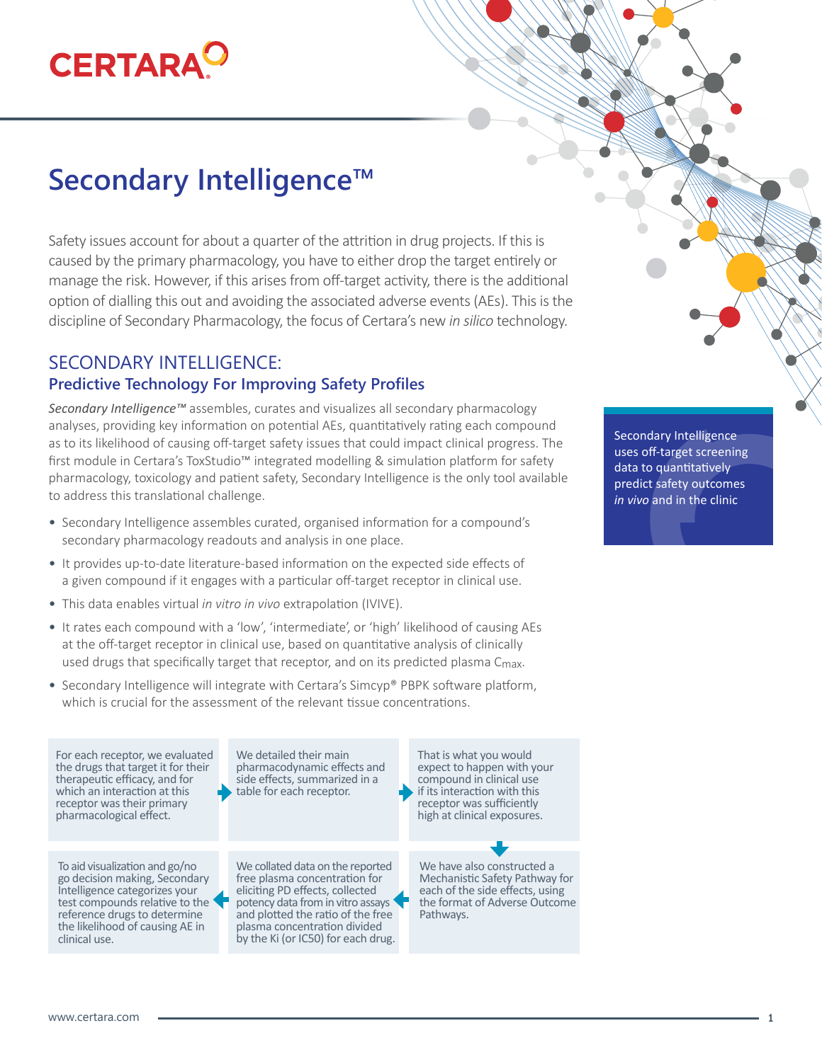# **CERTARA**

## **Secondary Intelligence™**

Safety issues account for about a quarter of the attrition in drug projects. If this is caused by the primary pharmacology, you have to either drop the target entirely or manage the risk. However, if this arises from off-target activity, there is the additional option of dialling this out and avoiding the associated adverse events (AEs). This is the discipline of Secondary Pharmacology, the focus of Certara's new *in silico* technology.

#### SECONDARY INTELLIGENCE: **Predictive Technology For Improving Safety Profiles**

*Secondary Intelligence™* assembles, curates and visualizes all secondary pharmacology analyses, providing key information on potential AEs, quantitatively rating each compound as to its likelihood of causing off-target safety issues that could impact clinical progress. The first module in Certara's ToxStudio™ integrated modelling & simulation platform for safety pharmacology, toxicology and patient safety, Secondary Intelligence is the only tool available to address this translational challenge.

- Secondary Intelligence assembles curated, organised information for a compound's secondary pharmacology readouts and analysis in one place.
- It provides up-to-date literature-based information on the expected side effects of a given compound if it engages with a particular off-target receptor in clinical use.
- This data enables virtual *in vitro in vivo* extrapolation (IVIVE).
- It rates each compound with a 'low', 'intermediate', or 'high' likelihood of causing AEs at the off-target receptor in clinical use, based on quantitative analysis of clinically used drugs that specifically target that receptor, and on its predicted plasma Cmax.
- Secondary Intelligence will integrate with Certara's Simcyp® PBPK software platform, which is crucial for the assessment of the relevant tissue concentrations.

For each receptor, we evaluated the drugs that target it for their therapeutic efficacy, and for which an interaction at this receptor was their primary pharmacological effect.

To aid visualization and go/no go decision making, Secondary Intelligence categorizes your test compounds relative to the reference drugs to determine the likelihood of causing AE in clinical use.

We detailed their main pharmacodynamic effects and side effects, summarized in a table for each receptor.

We collated data on the reported free plasma concentration for eliciting PD effects, collected potency data from in vitro assays and plotted the ratio of the free plasma concentration divided by the Ki (or IC50) for each drug.

That is what you would expect to happen with your compound in clinical use if its interaction with this receptor was sufficiently high at clinical exposures.

We have also constructed a Mechanistic Safety Pathway for each of the side effects, using the format of Adverse Outcome Pathways.

Secondary Intelligence uses off-target screening data to quantitatively predict safety outcomes *in vivo* and in the clinic